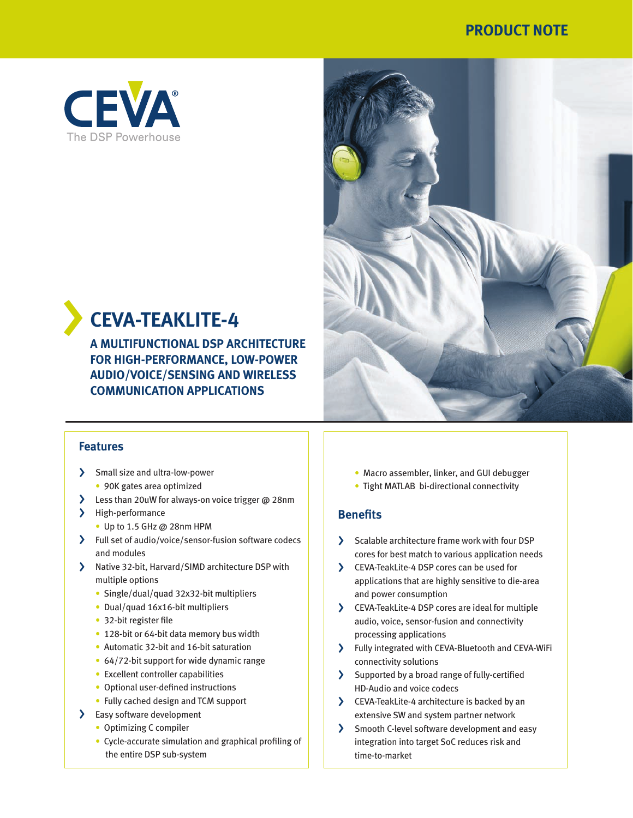## **PRODUCT NOTE**



# < **CEVA-TEAKLITE-4**

**A MULTIFUNCTIONAL DSP ARCHITECTURE FOR HIGH-PERFORMANCE, LOW-POWER AUDIO/VOICE/SENSING AND WIRELESS COMMUNICATION APPLICATIONS**



### **Features**

- > Small size and ultra-low-power
	- 90K gates area optimized
- > Less than 20uW for always-on voice trigger @ 28nm
- > High-performance
	- Up to 1.5 GHz @ 28nm HPM
- > Full set of audio/voice/sensor-fusion software codecs and modules
- > Native 32-bit, Harvard/SIMD architecture DSP with multiple options
	- Single/dual/quad 32x32-bit multipliers
	- Dual/quad 16x16-bit multipliers
	- 32-bit register file
	- 128-bit or 64-bit data memory bus width
	- Automatic 32-bit and 16-bit saturation
	- 64/72-bit support for wide dynamic range
	- Excellent controller capabilities
	- Optional user-defined instructions
	- Fully cached design and TCM support
- > Easy software development
	- Optimizing C compiler
	- Cycle-accurate simulation and graphical profiling of the entire DSP sub-system
- Macro assembler, linker, and GUI debugger
- Tight MATLAB bi-directional connectivity

### **Benefits**

- > Scalable architecture frame work with four DSP cores for best match to various application needs
- > CEVA-TeakLite-4 DSP cores can be used for applications that are highly sensitive to die-area and power consumption
- > CEVA-TeakLite-4 DSP cores are ideal for multiple audio, voice, sensor-fusion and connectivity processing applications
- > Fully integrated with CEVA-Bluetooth and CEVA-WiFi connectivity solutions
- > Supported by a broad range of fully-certified HD-Audio and voice codecs
- > CEVA-TeakLite-4 architecture is backed by an extensive SW and system partner network
- > Smooth C-level software development and easy integration into target SoC reduces risk and time-to-market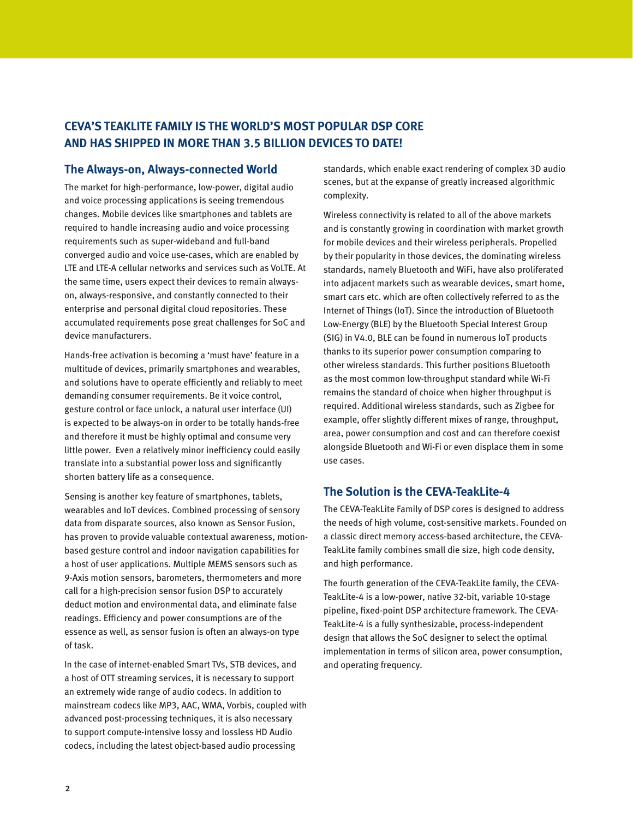## **CEVA'S TEAKLITE FAMILY IS THE WORLD'S MOST POPULAR DSP CORE AND HAS SHIPPED IN MORE THAN 3.5 BILLION DEVICES TO DATE!**

### **The Always-on, Always-connected World**

The market for high-performance, low-power, digital audio and voice processing applications is seeing tremendous changes. Mobile devices like smartphones and tablets are required to handle increasing audio and voice processing requirements such as super-wideband and full-band converged audio and voice use-cases, which are enabled by LTE and LTE-A cellular networks and services such as VoLTE. At the same time, users expect their devices to remain alwayson, always-responsive, and constantly connected to their enterprise and personal digital cloud repositories. These accumulated requirements pose great challenges for SoC and device manufacturers.

Hands-free activation is becoming a 'must have' feature in a multitude of devices, primarily smartphones and wearables, and solutions have to operate efficiently and reliably to meet demanding consumer requirements. Be it voice control, gesture control or face unlock, a natural user interface (UI) is expected to be always-on in order to be totally hands-free and therefore it must be highly optimal and consume very little power. Even a relatively minor inefficiency could easily translate into a substantial power loss and significantly shorten battery life as a consequence.

Sensing is another key feature of smartphones, tablets, wearables and IoT devices. Combined processing of sensory data from disparate sources, also known as Sensor Fusion, has proven to provide valuable contextual awareness, motionbased gesture control and indoor navigation capabilities for a host of user applications. Multiple MEMS sensors such as 9-Axis motion sensors, barometers, thermometers and more call for a high-precision sensor fusion DSP to accurately deduct motion and environmental data, and eliminate false readings. Efficiency and power consumptions are of the essence as well, as sensor fusion is often an always-on type of task.

In the case of internet-enabled Smart TVs, STB devices, and a host of OTT streaming services, it is necessary to support an extremely wide range of audio codecs. In addition to mainstream codecs like MP3, AAC, WMA, Vorbis, coupled with advanced post-processing techniques, it is also necessary to support compute-intensive lossy and lossless HD Audio codecs, including the latest object-based audio processing

standards, which enable exact rendering of complex 3D audio scenes, but at the expanse of greatly increased algorithmic complexity.

Wireless connectivity is related to all of the above markets and is constantly growing in coordination with market growth for mobile devices and their wireless peripherals. Propelled by their popularity in those devices, the dominating wireless standards, namely Bluetooth and WiFi, have also proliferated into adjacent markets such as wearable devices, smart home, smart cars etc. which are often collectively referred to as the Internet of Things (IoT). Since the introduction of Bluetooth Low-Energy (BLE) by the Bluetooth Special Interest Group (SIG) in V4.0, BLE can be found in numerous IoT products thanks to its superior power consumption comparing to other wireless standards. This further positions Bluetooth as the most common low-throughput standard while Wi-Fi remains the standard of choice when higher throughput is required. Additional wireless standards, such as Zigbee for example, offer slightly different mixes of range, throughput, area, power consumption and cost and can therefore coexist alongside Bluetooth and Wi-Fi or even displace them in some use cases.

### **The Solution is the CEVA-TeakLite-4**

The CEVA-TeakLite Family of DSP cores is designed to address the needs of high volume, cost-sensitive markets. Founded on a classic direct memory access-based architecture, the CEVA-TeakLite family combines small die size, high code density, and high performance.

The fourth generation of the CEVA-TeakLite family, the CEVA-TeakLite-4 is a low-power, native 32-bit, variable 10-stage pipeline, fixed-point DSP architecture framework. The CEVA-TeakLite-4 is a fully synthesizable, process-independent design that allows the SoC designer to select the optimal implementation in terms of silicon area, power consumption, and operating frequency.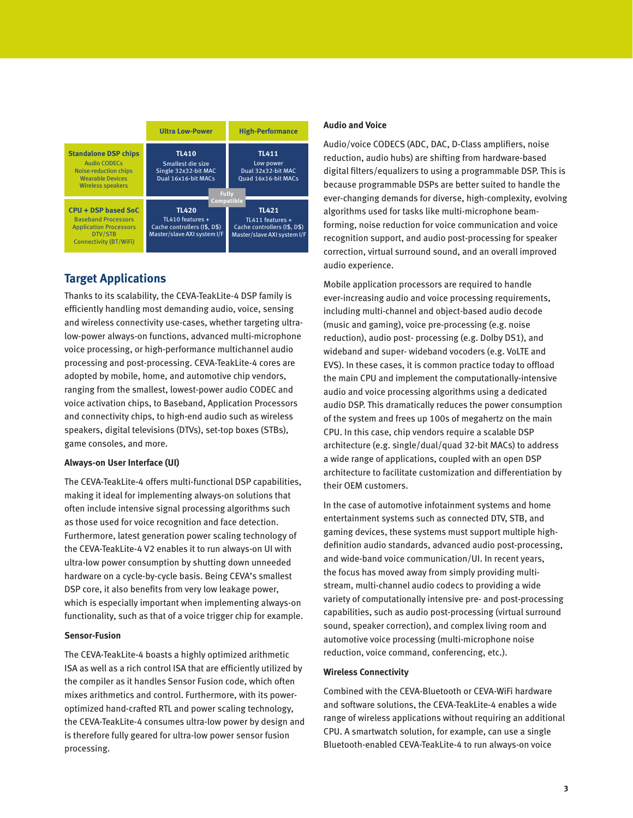

## **Target Applications**

Thanks to its scalability, the CEVA-TeakLite-4 DSP family is efficiently handling most demanding audio, voice, sensing and wireless connectivity use-cases, whether targeting ultralow-power always-on functions, advanced multi-microphone voice processing, or high-performance multichannel audio processing and post-processing. CEVA-TeakLite-4 cores are adopted by mobile, home, and automotive chip vendors, ranging from the smallest, lowest-power audio CODEC and voice activation chips, to Baseband, Application Processors and connectivity chips, to high-end audio such as wireless speakers, digital televisions (DTVs), set-top boxes (STBs), game consoles, and more.

### **Always-on User Interface (UI)**

The CEVA-TeakLite-4 offers multi-functional DSP capabilities, making it ideal for implementing always-on solutions that often include intensive signal processing algorithms such as those used for voice recognition and face detection. Furthermore, latest generation power scaling technology of the CEVA-TeakLite-4 V2 enables it to run always-on UI with ultra-low power consumption by shutting down unneeded hardware on a cycle-by-cycle basis. Being CEVA's smallest DSP core, it also benefits from very low leakage power, which is especially important when implementing always-on functionality, such as that of a voice trigger chip for example.

#### **Sensor-Fusion**

The CEVA-TeakLite-4 boasts a highly optimized arithmetic ISA as well as a rich control ISA that are efficiently utilized by the compiler as it handles Sensor Fusion code, which often mixes arithmetics and control. Furthermore, with its poweroptimized hand-crafted RTL and power scaling technology, the CEVA-TeakLite-4 consumes ultra-low power by design and is therefore fully geared for ultra-low power sensor fusion processing.

#### **Audio and Voice**

Audio/voice CODECS (ADC, DAC, D-Class amplifiers, noise reduction, audio hubs) are shifting from hardware-based digital filters/equalizers to using a programmable DSP. This is because programmable DSPs are better suited to handle the ever-changing demands for diverse, high-complexity, evolving algorithms used for tasks like multi-microphone beamforming, noise reduction for voice communication and voice recognition support, and audio post-processing for speaker correction, virtual surround sound, and an overall improved audio experience.

Mobile application processors are required to handle ever-increasing audio and voice processing requirements, including multi-channel and object-based audio decode (music and gaming), voice pre-processing (e.g. noise reduction), audio post- processing (e.g. Dolby DS1), and wideband and super- wideband vocoders (e.g. VoLTE and EVS). In these cases, it is common practice today to offload the main CPU and implement the computationally-intensive audio and voice processing algorithms using a dedicated audio DSP. This dramatically reduces the power consumption of the system and frees up 100s of megahertz on the main CPU. In this case, chip vendors require a scalable DSP architecture (e.g. single/dual/quad 32-bit MACs) to address a wide range of applications, coupled with an open DSP architecture to facilitate customization and differentiation by their OEM customers.

In the case of automotive infotainment systems and home entertainment systems such as connected DTV, STB, and gaming devices, these systems must support multiple highdefinition audio standards, advanced audio post-processing, and wide-band voice communication/UI. In recent years, the focus has moved away from simply providing multistream, multi-channel audio codecs to providing a wide variety of computationally intensive pre- and post-processing capabilities, such as audio post-processing (virtual surround sound, speaker correction), and complex living room and automotive voice processing (multi-microphone noise reduction, voice command, conferencing, etc.).

#### **Wireless Connectivity**

Combined with the CEVA-Bluetooth or CEVA-WiFi hardware and software solutions, the CEVA-TeakLite-4 enables a wide range of wireless applications without requiring an additional CPU. A smartwatch solution, for example, can use a single Bluetooth-enabled CEVA-TeakLite-4 to run always-on voice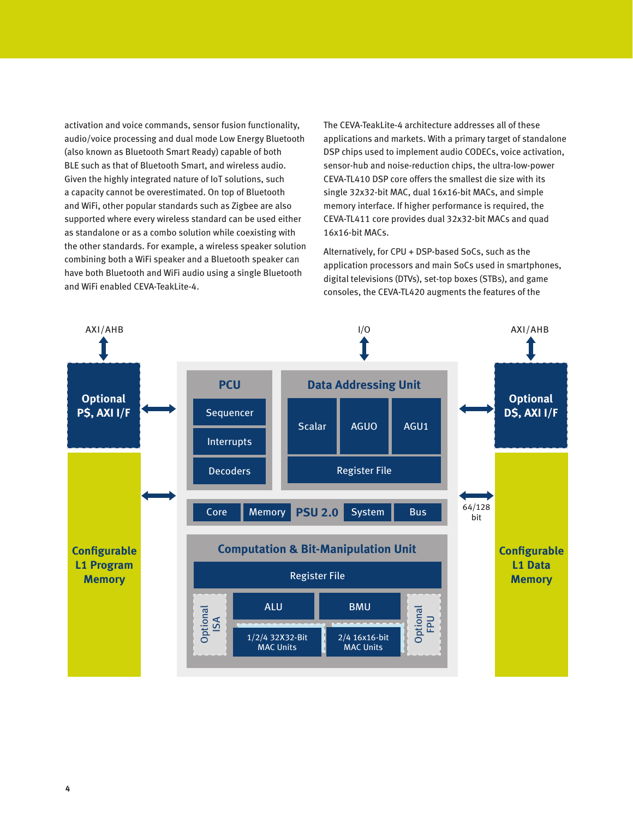activation and voice commands, sensor fusion functionality, audio/voice processing and dual mode Low Energy Bluetooth (also known as Bluetooth Smart Ready) capable of both BLE such as that of Bluetooth Smart, and wireless audio. Given the highly integrated nature of IoT solutions, such a capacity cannot be overestimated. On top of Bluetooth and WiFi, other popular standards such as Zigbee are also supported where every wireless standard can be used either as standalone or as a combo solution while coexisting with the other standards. For example, a wireless speaker solution combining both a WiFi speaker and a Bluetooth speaker can have both Bluetooth and WiFi audio using a single Bluetooth and WiFi enabled CEVA-TeakLite-4.

The CEVA-TeakLite-4 architecture addresses all of these applications and markets. With a primary target of standalone DSP chips used to implement audio CODECs, voice activation, sensor-hub and noise-reduction chips, the ultra-low-power CEVA-TL410 DSP core offers the smallest die size with its single 32x32-bit MAC, dual 16x16-bit MACs, and simple memory interface. If higher performance is required, the CEVA-TL411 core provides dual 32x32-bit MACs and quad 16x16-bit MACs.

Alternatively, for CPU + DSP-based SoCs, such as the application processors and main SoCs used in smartphones, digital televisions (DTVs), set-top boxes (STBs), and game consoles, the CEVA-TL420 augments the features of the

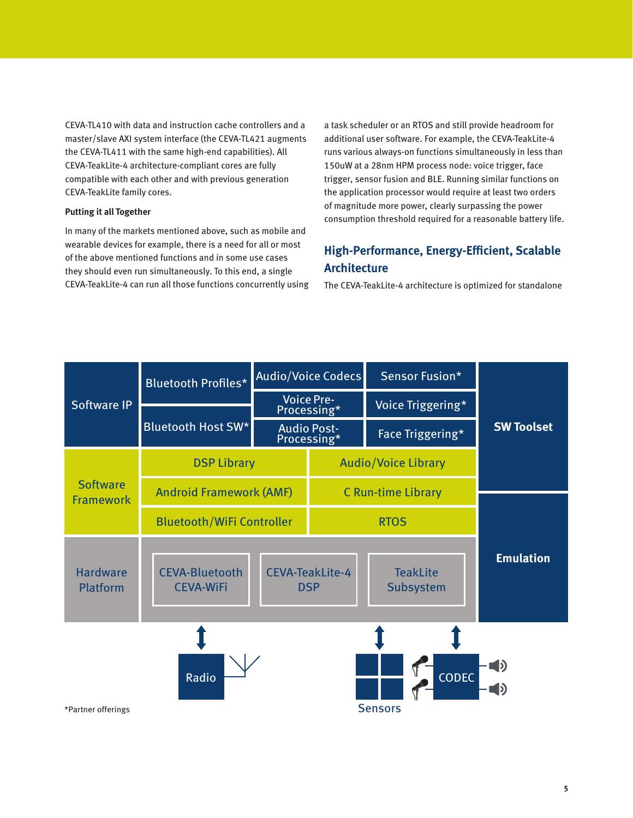CEVA-TL410 with data and instruction cache controllers and a master/slave AXI system interface (the CEVA-TL421 augments the CEVA-TL411 with the same high-end capabilities). All CEVA-TeakLite-4 architecture-compliant cores are fully compatible with each other and with previous generation CEVA-TeakLite family cores.

#### **Putting it all Together**

In many of the markets mentioned above, such as mobile and wearable devices for example, there is a need for all or most of the above mentioned functions and in some use cases they should even run simultaneously. To this end, a single CEVA-TeakLite-4 can run all those functions concurrently using

a task scheduler or an RTOS and still provide headroom for additional user software. For example, the CEVA-TeakLite-4 runs various always-on functions simultaneously in less than 150uW at a 28nm HPM process node: voice trigger, face trigger, sensor fusion and BLE. Running similar functions on the application processor would require at least two orders of magnitude more power, clearly surpassing the power consumption threshold required for a reasonable battery life.

## **High-Performance, Energy-Efficient, Scalable Architecture**

The CEVA-TeakLite-4 architecture is optimized for standalone

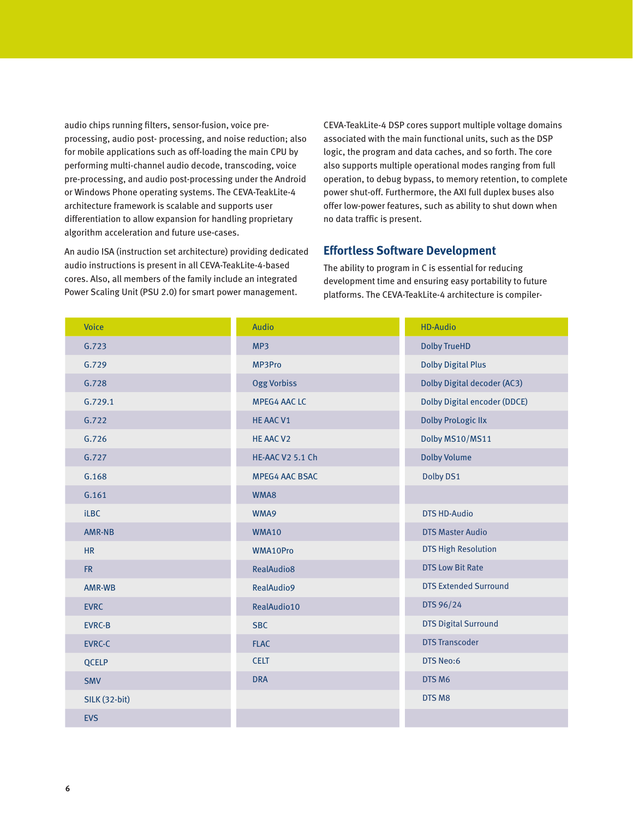audio chips running filters, sensor-fusion, voice preprocessing, audio post- processing, and noise reduction; also for mobile applications such as off-loading the main CPU by performing multi-channel audio decode, transcoding, voice pre-processing, and audio post-processing under the Android or Windows Phone operating systems. The CEVA-TeakLite-4 architecture framework is scalable and supports user differentiation to allow expansion for handling proprietary algorithm acceleration and future use-cases.

An audio ISA (instruction set architecture) providing dedicated audio instructions is present in all CEVA-TeakLite-4-based cores. Also, all members of the family include an integrated Power Scaling Unit (PSU 2.0) for smart power management.

CEVA-TeakLite-4 DSP cores support multiple voltage domains associated with the main functional units, such as the DSP logic, the program and data caches, and so forth. The core also supports multiple operational modes ranging from full operation, to debug bypass, to memory retention, to complete power shut-off. Furthermore, the AXI full duplex buses also offer low-power features, such as ability to shut down when no data traffic is present.

### **Effortless Software Development**

The ability to program in C is essential for reducing development time and ensuring easy portability to future platforms. The CEVA-TeakLite-4 architecture is compiler-

| <b>Voice</b>         | <b>Audio</b>            | <b>HD-Audio</b>                     |
|----------------------|-------------------------|-------------------------------------|
| G.723                | MP3                     | <b>Dolby TrueHD</b>                 |
| G.729                | MP3Pro                  | <b>Dolby Digital Plus</b>           |
| G.728                | <b>Ogg Vorbiss</b>      | <b>Dolby Digital decoder (AC3)</b>  |
| G.729.1              | <b>MPEG4 AAC LC</b>     | <b>Dolby Digital encoder (DDCE)</b> |
| G.722                | <b>HE AAC V1</b>        | <b>Dolby ProLogic IIx</b>           |
| G.726                | HE AAC V2               | Dolby MS10/MS11                     |
| G.727                | <b>HE-AAC V2 5.1 Ch</b> | <b>Dolby Volume</b>                 |
| G.168                | <b>MPEG4 AAC BSAC</b>   | Dolby DS1                           |
| G.161                | WMA8                    |                                     |
| <b>iLBC</b>          | WMA9                    | <b>DTS HD-Audio</b>                 |
| <b>AMR-NB</b>        | <b>WMA10</b>            | <b>DTS Master Audio</b>             |
| <b>HR</b>            | WMA10Pro                | <b>DTS High Resolution</b>          |
| FR.                  | RealAudio8              | <b>DTS Low Bit Rate</b>             |
| AMR-WB               | <b>RealAudio9</b>       | <b>DTS Extended Surround</b>        |
| <b>EVRC</b>          | RealAudio10             | DTS 96/24                           |
| <b>EVRC-B</b>        | <b>SBC</b>              | <b>DTS Digital Surround</b>         |
| <b>EVRC-C</b>        | <b>FLAC</b>             | <b>DTS Transcoder</b>               |
| QCELP                | <b>CELT</b>             | <b>DTS Neo:6</b>                    |
| <b>SMV</b>           | <b>DRA</b>              | DTS <sub>M6</sub>                   |
| <b>SILK (32-bit)</b> |                         | DTS M8                              |
| <b>EVS</b>           |                         |                                     |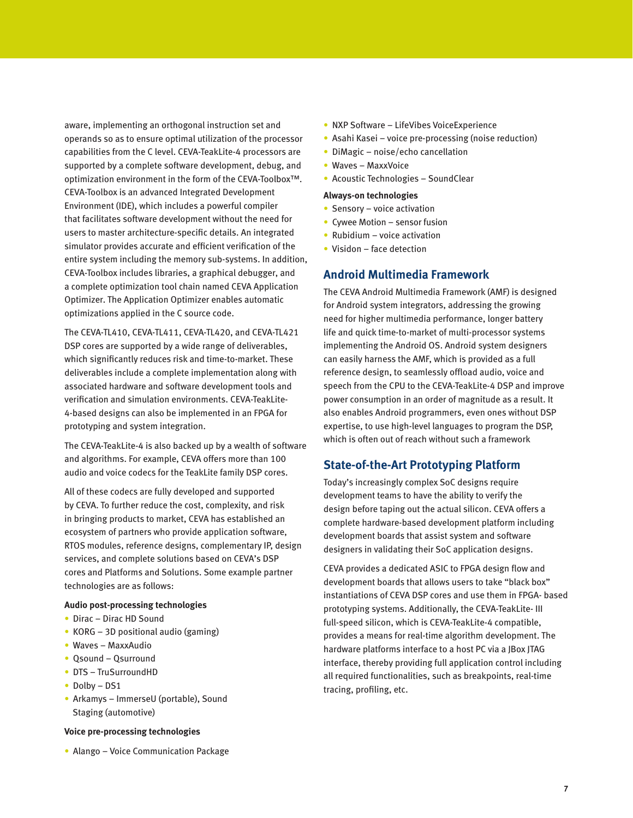aware, implementing an orthogonal instruction set and operands so as to ensure optimal utilization of the processor capabilities from the C level. CEVA-TeakLite-4 processors are supported by a complete software development, debug, and optimization environment in the form of the CEVA-Toolbox™. CEVA-Toolbox is an advanced Integrated Development Environment (IDE), which includes a powerful compiler that facilitates software development without the need for users to master architecture-specific details. An integrated simulator provides accurate and efficient verification of the entire system including the memory sub-systems. In addition, CEVA-Toolbox includes libraries, a graphical debugger, and a complete optimization tool chain named CEVA Application Optimizer. The Application Optimizer enables automatic optimizations applied in the C source code.

The CEVA-TL410, CEVA-TL411, CEVA-TL420, and CEVA-TL421 DSP cores are supported by a wide range of deliverables, which significantly reduces risk and time-to-market. These deliverables include a complete implementation along with associated hardware and software development tools and verification and simulation environments. CEVA-TeakLite-4-based designs can also be implemented in an FPGA for prototyping and system integration.

The CEVA-TeakLite-4 is also backed up by a wealth of software and algorithms. For example, CEVA offers more than 100 audio and voice codecs for the TeakLite family DSP cores.

All of these codecs are fully developed and supported by CEVA. To further reduce the cost, complexity, and risk in bringing products to market, CEVA has established an ecosystem of partners who provide application software, RTOS modules, reference designs, complementary IP, design services, and complete solutions based on CEVA's DSP cores and Platforms and Solutions. Some example partner technologies are as follows:

#### **Audio post-processing technologies**

- Dirac Dirac HD Sound
- KORG 3D positional audio (gaming)
- Waves MaxxAudio
- Qsound Qsurround
- DTS TruSurroundHD
- Dolby DS1
- Arkamys ImmerseU (portable), Sound Staging (automotive)

#### **Voice pre-processing technologies**

• Alango – Voice Communication Package

- NXP Software LifeVibes VoiceExperience
- Asahi Kasei voice pre-processing (noise reduction)
- DiMagic noise/echo cancellation
- Waves MaxxVoice
- Acoustic Technologies SoundClear

#### **Always-on technologies**

- Sensory voice activation
- Cywee Motion sensor fusion
- Rubidium voice activation
- Visidon face detection

### **Android Multimedia Framework**

The CEVA Android Multimedia Framework (AMF) is designed for Android system integrators, addressing the growing need for higher multimedia performance, longer battery life and quick time-to-market of multi-processor systems implementing the Android OS. Android system designers can easily harness the AMF, which is provided as a full reference design, to seamlessly offload audio, voice and speech from the CPU to the CEVA-TeakLite-4 DSP and improve power consumption in an order of magnitude as a result. It also enables Android programmers, even ones without DSP expertise, to use high-level languages to program the DSP, which is often out of reach without such a framework

### **State-of-the-Art Prototyping Platform**

Today's increasingly complex SoC designs require development teams to have the ability to verify the design before taping out the actual silicon. CEVA offers a complete hardware-based development platform including development boards that assist system and software designers in validating their SoC application designs.

CEVA provides a dedicated ASIC to FPGA design flow and development boards that allows users to take "black box" instantiations of CEVA DSP cores and use them in FPGA- based prototyping systems. Additionally, the CEVA-TeakLite- III full-speed silicon, which is CEVA-TeakLite-4 compatible, provides a means for real-time algorithm development. The hardware platforms interface to a host PC via a JBox JTAG interface, thereby providing full application control including all required functionalities, such as breakpoints, real-time tracing, profiling, etc.